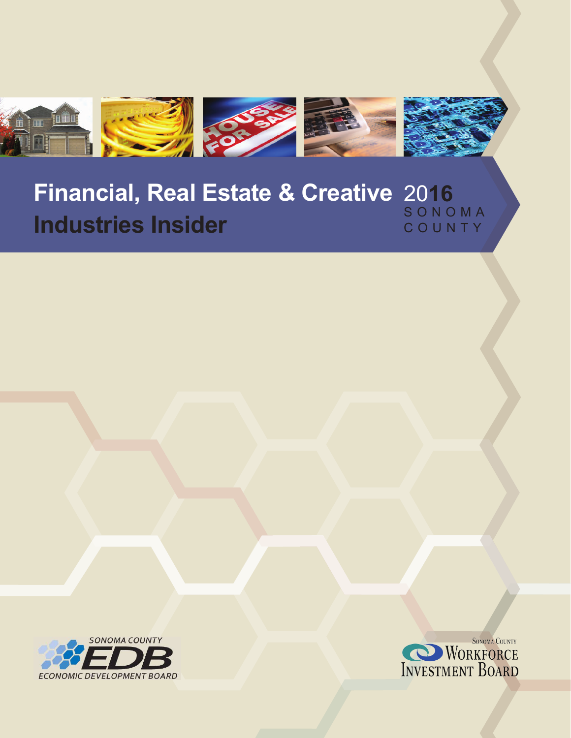

## **Financial, Real Estate & Creative** 20**16 Industries Insider** SONOMA COUNTY



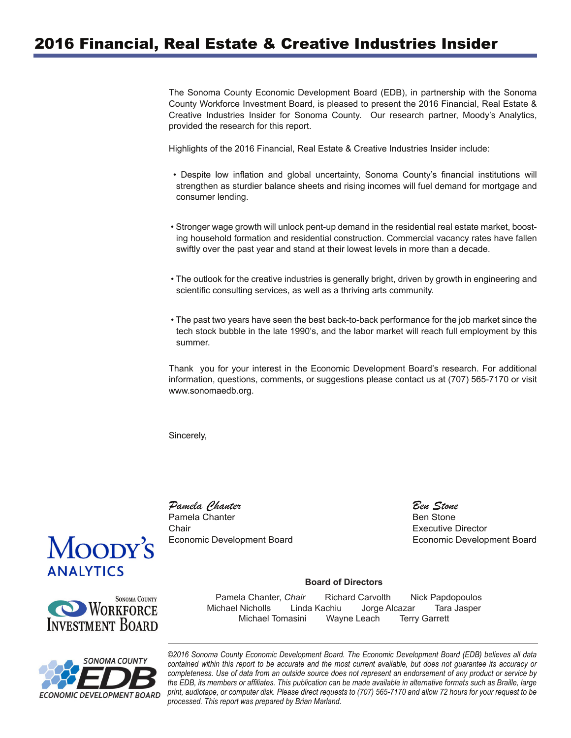# 2016 Financial, Real Estate & Creative Industries Insider

The Sonoma County Economic Development Board (EDB), in partnership with the Sonoma County Workforce Investment Board, is pleased to present the 2016 Financial, Real Estate & Creative Industries Insider for Sonoma County. Our research partner, Moody's Analytics, provided the research for this report.

Highlights of the 2016 Financial, Real Estate & Creative Industries Insider include:

- Despite low inflation and global uncertainty, Sonoma County's financial institutions will strengthen as sturdier balance sheets and rising incomes will fuel demand for mortgage and consumer lending.
- Stronger wage growth will unlock pent-up demand in the residential real estate market, boosting household formation and residential construction. Commercial vacancy rates have fallen swiftly over the past year and stand at their lowest levels in more than a decade.
- The outlook for the creative industries is generally bright, driven by growth in engineering and scientific consulting services, as well as a thriving arts community.
- The past two years have seen the best back-to-back performance for the job market since the tech stock bubble in the late 1990's, and the labor market will reach full employment by this summer.

Thank you for your interest in the Economic Development Board's research. For additional information, questions, comments, or suggestions please contact us at (707) 565-7170 or visit www.sonomaedb.org.

Sincerely,

*Pamela Chanter*  Pamela Chanter Economic Development Board Chair

 *Ben Stone* Ben Stone Executive Director Economic Development Board

#### **Board of Directors**

 Pamela Chanter, *Chair* Richard CarvolthNick Papdopoulos Michael Nicholls Linda Kachiu Jorge Alcazar Tara Jasper Michael Tomasini Wayne Leach Terry Garrett



*©2016 Sonoma County Economic Development Board. The Economic Development Board (EDB) believes all data contained within this report to be accurate and the most current available, but does not guarantee its accuracy or completeness. Use of data from an outside source does not represent an endorsement of any product or service by the EDB, its members or affiliates. This publication can be made available in alternative formats such as Braille, large print, audiotape, or computer disk. Please direct requests to (707) 565-7170 and allow 72 hours for your request to be processed. This report was prepared by Brian Marland.*



**NORKFORCE INVESTMENT BOARD** 

**SONOMA COUNTY**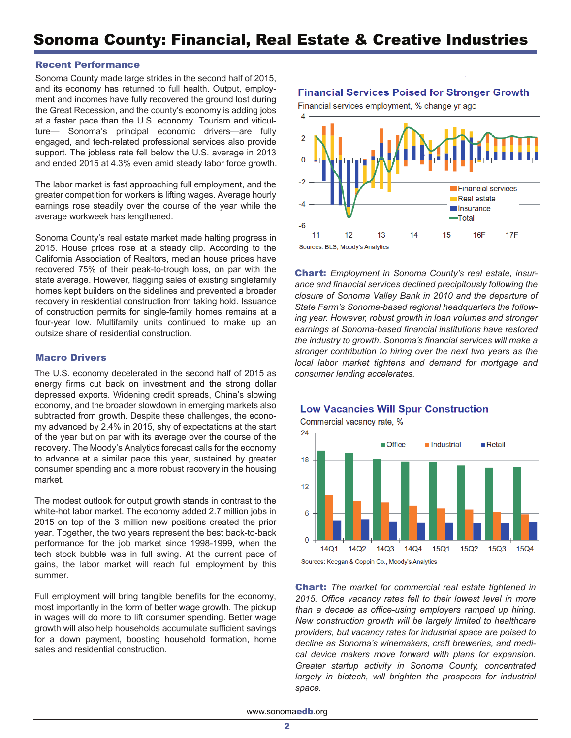#### Recent Performance

Sonoma County made large strides in the second half of 2015, and its economy has returned to full health. Output, employment and incomes have fully recovered the ground lost during the Great Recession, and the county's economy is adding jobs at a faster pace than the U.S. economy. Tourism and viticulture— Sonoma's principal economic drivers—are fully engaged, and tech-related professional services also provide support. The jobless rate fell below the U.S. average in 2013 and ended 2015 at 4.3% even amid steady labor force growth.

The labor market is fast approaching full employment, and the greater competition for workers is lifting wages. Average hourly earnings rose steadily over the course of the year while the average workweek has lengthened.

Sonoma County's real estate market made halting progress in 2015. House prices rose at a steady clip. According to the California Association of Realtors, median house prices have recovered 75% of their peak-to-trough loss, on par with the state average. However, flagging sales of existing singlefamily homes kept builders on the sidelines and prevented a broader recovery in residential construction from taking hold. Issuance of construction permits for single-family homes remains at a four-year low. Multifamily units continued to make up an outsize share of residential construction.

#### Macro Drivers

The U.S. economy decelerated in the second half of 2015 as energy firms cut back on investment and the strong dollar depressed exports. Widening credit spreads, China's slowing economy, and the broader slowdown in emerging markets also subtracted from growth. Despite these challenges, the economy advanced by 2.4% in 2015, shy of expectations at the start of the year but on par with its average over the course of the recovery. The Moody's Analytics forecast calls for the economy to advance at a similar pace this year, sustained by greater consumer spending and a more robust recovery in the housing market.

The modest outlook for output growth stands in contrast to the white-hot labor market. The economy added 2.7 million jobs in 2015 on top of the 3 million new positions created the prior year. Together, the two years represent the best back-to-back performance for the job market since 1998-1999, when the tech stock bubble was in full swing. At the current pace of gains, the labor market will reach full employment by this summer.

Full employment will bring tangible benefits for the economy, most importantly in the form of better wage growth. The pickup in wages will do more to lift consumer spending. Better wage growth will also help households accumulate sufficient savings for a down payment, boosting household formation, home sales and residential construction.

**Financial Services Poised for Stronger Growth** 



Chart: *Employment in Sonoma County's real estate, insurance and financial services declined precipitously following the closure of Sonoma Valley Bank in 2010 and the departure of State Farm's Sonoma-based regional headquarters the following year. However, robust growth in loan volumes and stronger earnings at Sonoma-based financial institutions have restored the industry to growth. Sonoma's financial services will make a stronger contribution to hiring over the next two years as the local labor market tightens and demand for mortgage and consumer lending accelerates.*

### **Low Vacancies Will Spur Construction**



Sources: Keegan & Coppin Co., Moody's Analytics

Chart: *The market for commercial real estate tightened in 2015. Office vacancy rates fell to their lowest level in more than a decade as office-using employers ramped up hiring. New construction growth will be largely limited to healthcare providers, but vacancy rates for industrial space are poised to decline as Sonoma's winemakers, craft breweries, and medical device makers move forward with plans for expansion. Greater startup activity in Sonoma County, concentrated largely in biotech, will brighten the prospects for industrial space.*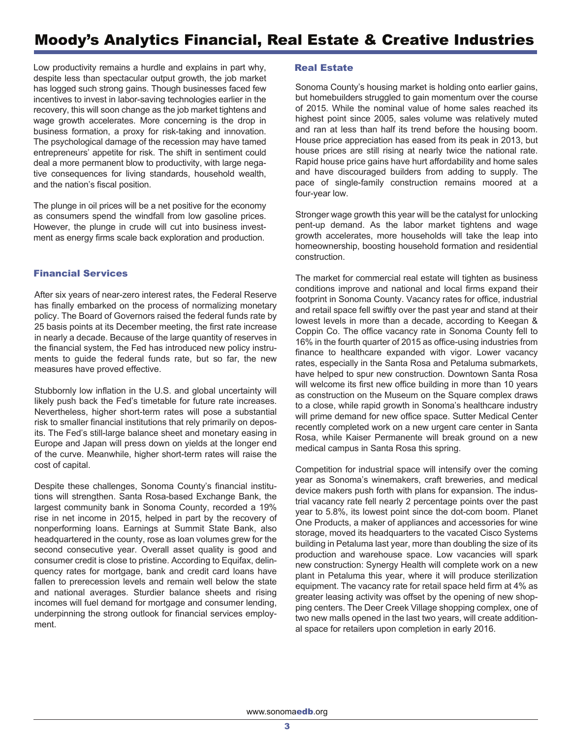## Moody's Analytics Financial, Real Estate & Creative Industries

Low productivity remains a hurdle and explains in part why, despite less than spectacular output growth, the job market has logged such strong gains. Though businesses faced few incentives to invest in labor-saving technologies earlier in the recovery, this will soon change as the job market tightens and wage growth accelerates. More concerning is the drop in business formation, a proxy for risk-taking and innovation. The psychological damage of the recession may have tamed entrepreneurs' appetite for risk. The shift in sentiment could deal a more permanent blow to productivity, with large negative consequences for living standards, household wealth, and the nation's fiscal position.

The plunge in oil prices will be a net positive for the economy as consumers spend the windfall from low gasoline prices. However, the plunge in crude will cut into business investment as energy firms scale back exploration and production.

#### Financial Services

After six years of near-zero interest rates, the Federal Reserve has finally embarked on the process of normalizing monetary policy. The Board of Governors raised the federal funds rate by 25 basis points at its December meeting, the first rate increase in nearly a decade. Because of the large quantity of reserves in the financial system, the Fed has introduced new policy instruments to guide the federal funds rate, but so far, the new measures have proved effective.

Stubbornly low inflation in the U.S. and global uncertainty will likely push back the Fed's timetable for future rate increases. Nevertheless, higher short-term rates will pose a substantial risk to smaller financial institutions that rely primarily on deposits. The Fed's still-large balance sheet and monetary easing in Europe and Japan will press down on yields at the longer end of the curve. Meanwhile, higher short-term rates will raise the cost of capital.

Despite these challenges, Sonoma County's financial institutions will strengthen. Santa Rosa-based Exchange Bank, the largest community bank in Sonoma County, recorded a 19% rise in net income in 2015, helped in part by the recovery of nonperforming loans. Earnings at Summit State Bank, also headquartered in the county, rose as loan volumes grew for the second consecutive year. Overall asset quality is good and consumer credit is close to pristine. According to Equifax, delinquency rates for mortgage, bank and credit card loans have fallen to prerecession levels and remain well below the state and national averages. Sturdier balance sheets and rising incomes will fuel demand for mortgage and consumer lending, underpinning the strong outlook for financial services employment.

#### Real Estate

Sonoma County's housing market is holding onto earlier gains, but homebuilders struggled to gain momentum over the course of 2015. While the nominal value of home sales reached its highest point since 2005, sales volume was relatively muted and ran at less than half its trend before the housing boom. House price appreciation has eased from its peak in 2013, but house prices are still rising at nearly twice the national rate. Rapid house price gains have hurt affordability and home sales and have discouraged builders from adding to supply. The pace of single-family construction remains moored at a four-year low.

Stronger wage growth this year will be the catalyst for unlocking pent-up demand. As the labor market tightens and wage growth accelerates, more households will take the leap into homeownership, boosting household formation and residential construction.

The market for commercial real estate will tighten as business conditions improve and national and local firms expand their footprint in Sonoma County. Vacancy rates for office, industrial and retail space fell swiftly over the past year and stand at their lowest levels in more than a decade, according to Keegan & Coppin Co. The office vacancy rate in Sonoma County fell to 16% in the fourth quarter of 2015 as office-using industries from finance to healthcare expanded with vigor. Lower vacancy rates, especially in the Santa Rosa and Petaluma submarkets, have helped to spur new construction. Downtown Santa Rosa will welcome its first new office building in more than 10 years as construction on the Museum on the Square complex draws to a close, while rapid growth in Sonoma's healthcare industry will prime demand for new office space. Sutter Medical Center recently completed work on a new urgent care center in Santa Rosa, while Kaiser Permanente will break ground on a new medical campus in Santa Rosa this spring.

Competition for industrial space will intensify over the coming year as Sonoma's winemakers, craft breweries, and medical device makers push forth with plans for expansion. The industrial vacancy rate fell nearly 2 percentage points over the past year to 5.8%, its lowest point since the dot-com boom. Planet One Products, a maker of appliances and accessories for wine storage, moved its headquarters to the vacated Cisco Systems building in Petaluma last year, more than doubling the size of its production and warehouse space. Low vacancies will spark new construction: Synergy Health will complete work on a new plant in Petaluma this year, where it will produce sterilization equipment. The vacancy rate for retail space held firm at 4% as greater leasing activity was offset by the opening of new shopping centers. The Deer Creek Village shopping complex, one of two new malls opened in the last two years, will create additional space for retailers upon completion in early 2016.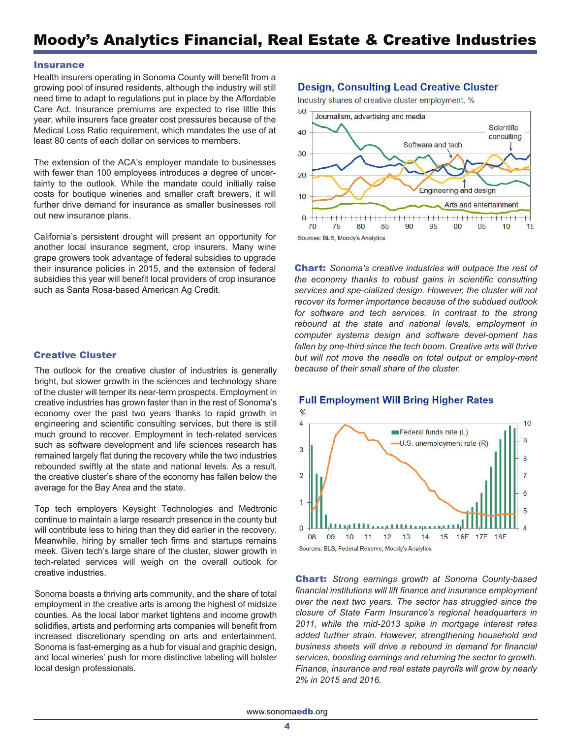#### **Insurance**

Health insurers operating in Sonoma County will benefit from a growing pool of insured residents, although the industry will still need time to adapt to regulations put in place by the Affordable Care Act. Insurance premiums are expected to rise little this year, while insurers face greater cost pressures because of the Medical Loss Ratio requirement, which mandates the use of at least 80 cents of each dollar on services to members.

The extension of the ACA's employer mandate to businesses with fewer than 100 employees introduces a degree of uncertainty to the outlook. While the mandate could initially raise costs for boutique wineries and smaller craft brewers, it will further drive demand for insurance as smaller businesses roll out new insurance plans.

California's persistent drought will present an opportunity for another local insurance segment, crop insurers. Many wine grape growers took advantage of federal subsidies to upgrade their insurance policies in 2015, and the extension of federal subsidies this year will benefit local providers of crop insurance such as Santa Rosa-based American Ag Credit.

#### Creative Cluster

The outlook for the creative cluster of industries is generally bright, but slower growth in the sciences and technology share of the cluster will temper its near-term prospects. Employment in creative industries has grown faster than in the rest of Sonoma's economy over the past two years thanks to rapid growth in engineering and scientific consulting services, but there is still much ground to recover. Employment in tech-related services such as software development and life sciences research has remained largely flat during the recovery while the two industries rebounded swiftly at the state and national levels. As a result, the creative cluster's share of the economy has fallen below the average for the Bay Area and the state.

Top tech employers Keysight Technologies and Medtronic continue to maintain a large research presence in the county but will contribute less to hiring than they did earlier in the recovery. Meanwhile, hiring by smaller tech firms and startups remains meek. Given tech's large share of the cluster, slower growth in tech-related services will weigh on the overall outlook for creative industries.

Sonoma boasts a thriving arts community, and the share of total employment in the creative arts is among the highest of midsize counties. As the local labor market tightens and income growth solidifies, artists and performing arts companies will benefit from increased discretionary spending on arts and entertainment. Sonoma is fast-emerging as a hub for visual and graphic design, and local wineries' push for more distinctive labeling will bolster local design professionals.

### **Design, Consulting Lead Creative Cluster**

Industry shares of creative cluster employment, %



Chart: *Sonoma's creative industries will outpace the rest of the economy thanks to robust gains in scientific consulting services and spe-cialized design. However, the cluster will not recover its former importance because of the subdued outlook*  for software and tech services. In contrast to the strong *rebound at the state and national levels, employment in computer systems design and software devel-opment has*  fallen by one-third since the tech boom. Creative arts will thrive *but will not move the needle on total output or employ-ment because of their small share of the cluster.* 



Chart: *Strong earnings growth at Sonoma County-based financial institutions will lift finance and insurance employment over the next two years. The sector has struggled since the closure of State Farm Insurance's regional headquarters in 2011, while the mid-2013 spike in mortgage interest rates added further strain. However, strengthening household and business sheets will drive a rebound in demand for financial services, boosting earnings and returning the sector to growth. Finance, insurance and real estate payrolls will grow by nearly 2% in 2015 and 2016.*

### **Full Employment Will Bring Higher Rates**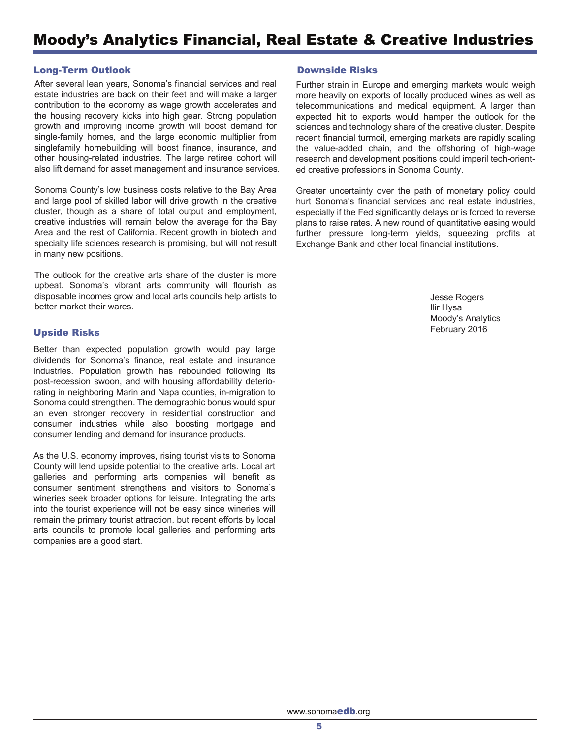## Moody's Analytics Financial, Real Estate & Creative Industries

#### Long-Term Outlook

After several lean years, Sonoma's financial services and real . also lift demand for asset management and insurance services estate industries are back on their feet and will make a larger contribution to the economy as wage growth accelerates and the housing recovery kicks into high gear. Strong population growth and improving income growth will boost demand for single-family homes, and the large economic multiplier from singlefamily homebuilding will boost finance, insurance, and other housing-related industries. The large retiree cohort will

Sonoma County's low business costs relative to the Bay Area and large pool of skilled labor will drive growth in the creative cluster, though as a share of total output and employment, creative industries will remain below the average for the Bay Area and the rest of California. Recent growth in biotech and specialty life sciences research is promising, but will not result in many new positions.

The outlook for the creative arts share of the cluster is more upbeat. Sonoma's vibrant arts community will flourish as disposable incomes grow and local arts councils help artists to better market their wares.

#### Upside Risks

Better than expected population growth would pay large dividends for Sonoma's finance, real estate and insurance industries. Population growth has rebounded following its post-recession swoon, and with housing affordability deteriorating in neighboring Marin and Napa counties, in-migration to Sonoma could strengthen. The demographic bonus would spur an even stronger recovery in residential construction and consumer industries while also boosting mortgage and consumer lending and demand for insurance products.

As the U.S. economy improves, rising tourist visits to Sonoma County will lend upside potential to the creative arts. Local art galleries and performing arts companies will benefit as consumer sentiment strengthens and visitors to Sonoma's wineries seek broader options for leisure. Integrating the arts into the tourist experience will not be easy since wineries will remain the primary tourist attraction, but recent efforts by local arts councils to promote local galleries and performing arts companies are a good start.

#### 8 Downside Risks

ed creative professions in Sonoma County. research and development positions could imperil tech-orientthe value-added chain, and the offshoring of high-wage recent financial turmoil, emerging markets are rapidly scaling sciences and technology share of the creative cluster. Despite 2 expected hit to exports would hamper the outlook for the 4 t elecommunications and medical equipment. A larger than Further strain in Europe and emerging markets would weigh more heavily on exports of locally produced wines as well as

Greater uncertainty over the path of monetary policy could f urther pressure long-term yields, squeezing profits at hurt Sonoma's financial services and real estate industries, especially if the Fed significantly delays or is forced to reverse plans to raise rates. A new round of quantitative easing would Exchange Bank and other local financial institutions.

> Jesse Rogers Ilir Hysa Moody's Analytics February 2016

www.sonoma**edb**.org